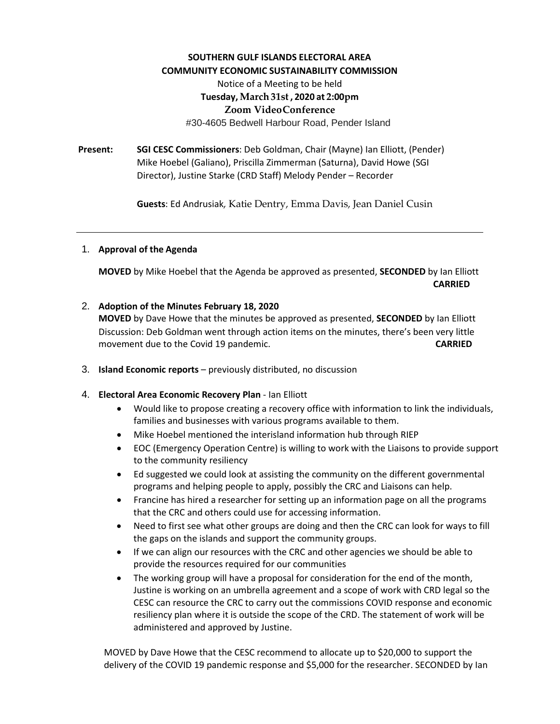## **SOUTHERN GULF ISLANDS ELECTORAL AREA COMMUNITY ECONOMIC SUSTAINABILITY COMMISSION** Notice of a Meeting to be held **Tuesday,March31st , 2020 at 2:00pm Zoom VideoConference** #30-4605 Bedwell Harbour Road, Pender Island

**Present: SGI CESC Commissioners**: Deb Goldman, Chair (Mayne) Ian Elliott, (Pender) Mike Hoebel (Galiano), Priscilla Zimmerman (Saturna), David Howe (SGI Director), Justine Starke (CRD Staff) Melody Pender – Recorder

**Guests**: Ed Andrusiak, Katie Dentry, Emma Davis, Jean Daniel Cusin

## 1. **Approval of the Agenda**

**MOVED** by Mike Hoebel that the Agenda be approved as presented, **SECONDED** by Ian Elliott **CARRIED**

## 2. **Adoption of the Minutes February 18, 2020**

**MOVED** by Dave Howe that the minutes be approved as presented, **SECONDED** by Ian Elliott Discussion: Deb Goldman went through action items on the minutes, there's been very little movement due to the Covid 19 pandemic. **CARRIED**

- 3. **Island Economic reports** previously distributed, no discussion
- 4. **Electoral Area Economic Recovery Plan** Ian Elliott
	- Would like to propose creating a recovery office with information to link the individuals, families and businesses with various programs available to them.
	- Mike Hoebel mentioned the interisland information hub through RIEP
	- EOC (Emergency Operation Centre) is willing to work with the Liaisons to provide support to the community resiliency
	- Ed suggested we could look at assisting the community on the different governmental programs and helping people to apply, possibly the CRC and Liaisons can help.
	- Francine has hired a researcher for setting up an information page on all the programs that the CRC and others could use for accessing information.
	- Need to first see what other groups are doing and then the CRC can look for ways to fill the gaps on the islands and support the community groups.
	- If we can align our resources with the CRC and other agencies we should be able to provide the resources required for our communities
	- The working group will have a proposal for consideration for the end of the month, Justine is working on an umbrella agreement and a scope of work with CRD legal so the CESC can resource the CRC to carry out the commissions COVID response and economic resiliency plan where it is outside the scope of the CRD. The statement of work will be administered and approved by Justine.

MOVED by Dave Howe that the CESC recommend to allocate up to \$20,000 to support the delivery of the COVID 19 pandemic response and \$5,000 for the researcher. SECONDED by Ian